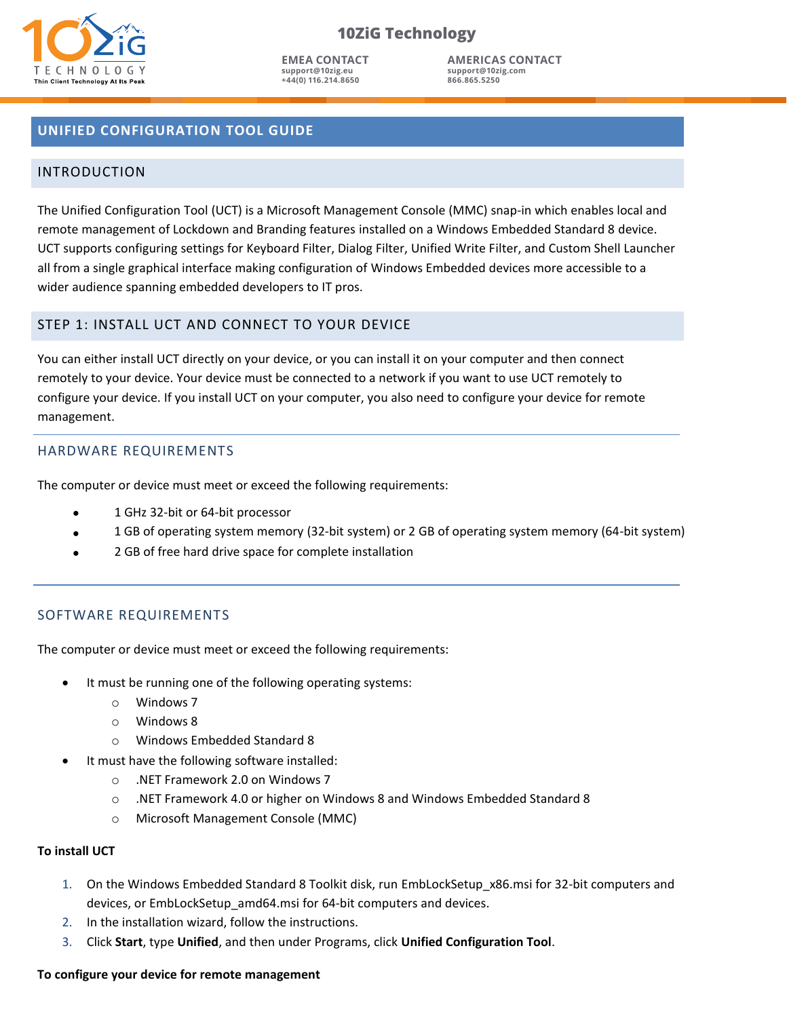

**EMEA CONTACT support@10zig.eu +44(0) 116.214.8650**

**AMERICAS CONTACT support@10zig.com 866.865.5250**

# **UNIFIED CONFIGURATION TOOL GUIDE UNIFIED CONFIGURATION TOOL GUIDE**

## INTRODUCTION INTRODUCTION

The Unified Configuration Tool (UCT) is a Microsoft Management Console (MMC) snap-in which enables local and The Unified Configuration Tool (UCT) is a Microsoft Management Console (MMC) snap-in which enables local and remote management of Lockdown and Branding features installed on a Windows Embedded Standard 8 device. remote management of Lockdown and Branding features installed on a Windows Embedded Standard 8 device. UCT supports configuring settings for Keyboard Filter, Dialog Filter, Unified Write Filter, and Custom Shell Launcher all from a single graphical interface making configuration of Windows Embedded devices more accessible to a all from a single graphical interface making configuration of Windows Embedded devices more accessible to a wider audience spanning embedded developers to IT pros. wider audience spanning embedded developers to IT pros.

## STEP 1: INSTALL UCT AND CONNECT TO YOUR DEVICE STEP 1: INSTALL UCT AND CONNECT TO YOUR DEVICE

You can either install UCT directly on your device, or you can install it on your computer and then connect You can either install UCT directly on your device, or you can install it on your computer and then connect remotely to your device. Your device must be connected to a network if you want to use UCT remotely to remotely to your device. Your device must be connected to a network if you want to use UCT remotely to configure your device. If you install UCT on your computer, you also need to configure your device for remote configure your device. If you install UCT on your computer, you also need to configure your device for remote management. management.

## HARDWARE REQUIREMENTS HARDWARE REQUIREMENTS

The computer or device must meet or exceed the following requirements: The computer or device must meet or exceed the following requirements:

- 1 GHz 32-bit or 64-bit processor 1 GHz 32-bit or 64-bit processor
- 1 GB of operating system memory (32-bit system) or 2 GB of operating system memory (64-bit system) 1 GB of operating system memory (32-bit system) or 2 GB of operating system memory (64-bit system)
- 2 GB of free hard drive space for complete installation 2 GB of free hard drive space for complete installation

### SOFTWARE REQUIREMENTS SOFTWARE REQUIREMENTS

The computer or device must meet or exceed the following requirements: The computer or device must meet or exceed the following requirements:

- It must be running one of the following operating systems: It must be running one of the following operating systems:
	- o Windows 7 o Windows 7
	- o Windows 8 o Windows 8
	- o Windows Embedded Standard 8 o Windows Embedded Standard 8
- It must have the following software installed: It must have the following software installed:
	- o .NET Framework 2.0 on Windows 7 o .NET Framework 2.0 on Windows 7
	- $\circ$  ). NET Framework 4.0 or higher on Windows 8 and Windows Embedded Standard 8
	- o Microsoft Management Console (MMC) o Microsoft Management Console (MMC)

#### **To install UCT To install UCT**

- 1. On the Windows Embedded Standard 8 Toolkit disk, run EmbLockSetup\_x86.msi for 32-bit computers and 1. On the Windows Embedded Standard 8 Toolkit disk, run EmbLockSetup\_x86.msi for 32-bit computers and devices, or EmbLockSetup\_amd64.msi for 64-bit computers and devices. devices, or EmbLockSetup\_amd64.msi for 64-bit computers and devices.
- 2. In the installation wizard, follow the instructions. 2. In the installation wizard, follow the instructions.
- 3. Click **Start**, type **Unified**, and then under Programs, click **Unified Configuration Tool**. 3. Click **Start**, type **Unified**, and then under Programs, click **Unified Configuration Tool**.

## **To configure your device for remote management To configure your device for remote management**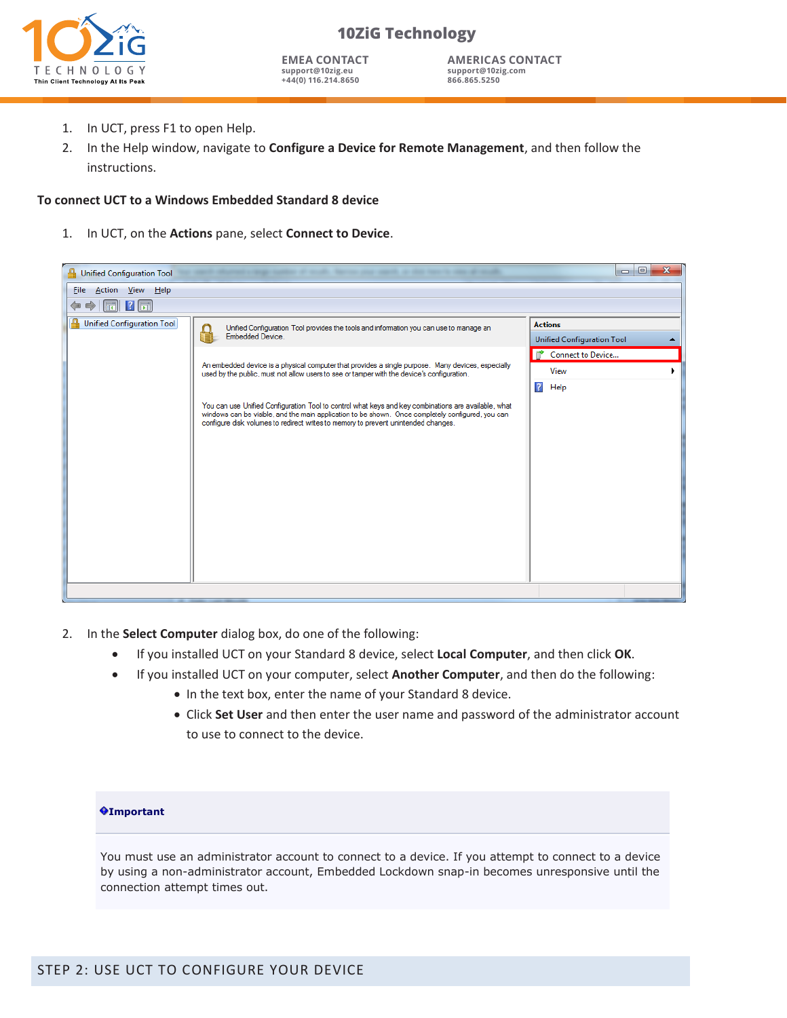

**EMEA CONTACT support@10zig.eu +44(0) 116.214.8650**

**AMERICAS CONTACT support@10zig.com 866.865.5250**

- 1. In UCT, press F1 to open Help.
- 2. In the Help window, navigate to **Configure a Device for Remote Management**, and then follow the instructions.

### **To connect UCT to a Windows Embedded Standard 8 device**

1. In UCT, on the **Actions** pane, select **Connect to Device**.



- 2. In the **Select Computer** dialog box, do one of the following:
	- If you installed UCT on your Standard 8 device, select **Local Computer**, and then click **OK**.
	- If you installed UCT on your computer, select **Another Computer**, and then do the following:
		- In the text box, enter the name of your Standard 8 device.
		- Click **Set User** and then enter the user name and password of the administrator account to use to connect to the device.

#### **Important**

You must use an administrator account to connect to a device. If you attempt to connect to a device by using a non-administrator account, Embedded Lockdown snap-in becomes unresponsive until the connection attempt times out.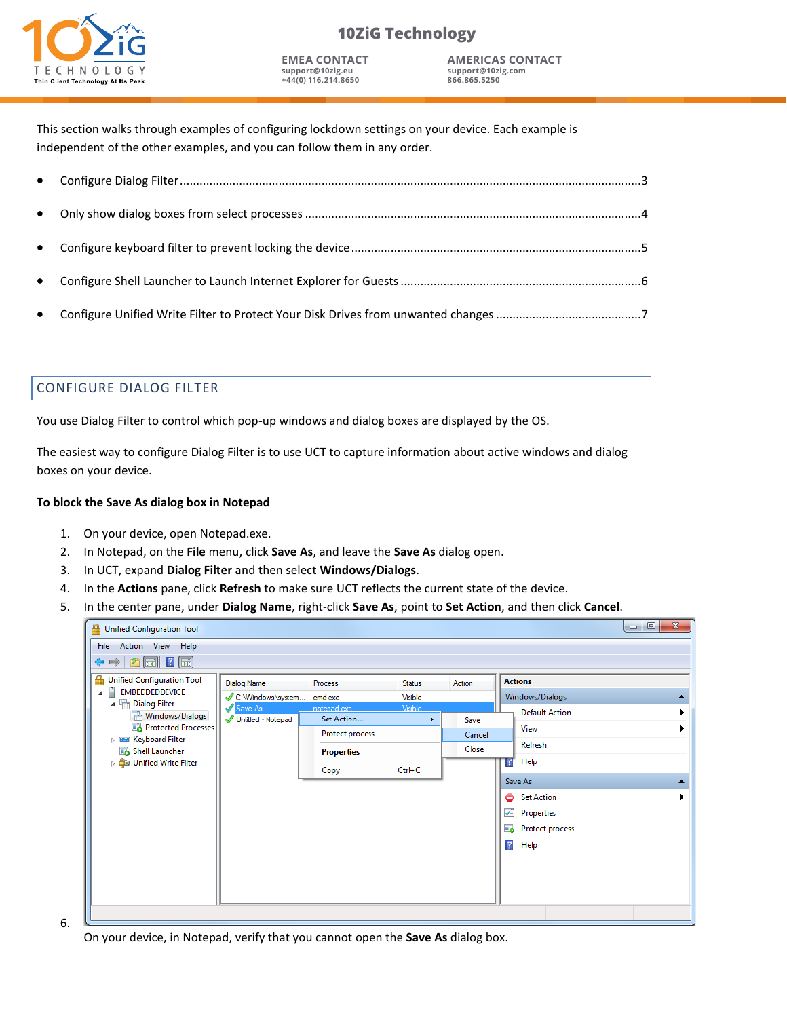

**EMEA CONTACT support@10zig.eu +44(0) 116.214.8650**

**AMERICAS CONTACT support@10zig.com 866.865.5250**

This section walks through examples of configuring lockdown settings on your device. Each example is independent of the other examples, and you can follow them in any order.

## CONFIGURE DIALOG FILTER

You use Dialog Filter to control which pop-up windows and dialog boxes are displayed by the OS.

The easiest way to configure Dialog Filter is to use UCT to capture information about active windows and dialog boxes on your device.

#### **To block the Save As dialog box in Notepad**

- 1. On your device, open Notepad.exe.
- 2. In Notepad, on the **File** menu, click **Save As**, and leave the **Save As** dialog open.
- 3. In UCT, expand **Dialog Filter** and then select **Windows/Dialogs**.
- 4. In the **Actions** pane, click **Refresh** to make sure UCT reflects the current state of the device.
- 5. In the center pane, under **Dialog Name**, right-click **Save As**, point to **Set Action**, and then click **Cancel**.

| <b>Unified Configuration Tool</b>                   |                    |                   |                |        | $\mathbf{x}$<br>$\Box$<br>$\Box$ |  |
|-----------------------------------------------------|--------------------|-------------------|----------------|--------|----------------------------------|--|
| File Action View Help                               |                    |                   |                |        |                                  |  |
| $\boxed{m}$ ? $\boxed{n}$<br>中门                     |                    |                   |                |        |                                  |  |
| <b>Unified Configuration Tool</b>                   | Dialog Name        | Process           | <b>Status</b>  | Action | <b>Actions</b>                   |  |
| F EMBEDDEDDEVICE                                    | C:\Windows\system  | cmd.exe           | Visible        |        | Windows/Dialogs                  |  |
| ▲ <sup>[11</sup> ] Dialog Filter<br>Windows/Dialogs | Save As            | notenad exe       | <b>Visible</b> |        | <b>Default Action</b>            |  |
| Protected Processes                                 | Untitled - Notepad | Set Action        | ٠              | Save   | View                             |  |
| $\triangleright$ $\equiv$ Keyboard Filter           |                    | Protect process   |                | Cancel | Refresh                          |  |
| Shell Launcher                                      |                    | <b>Properties</b> |                | Close  |                                  |  |
| <b>De Unified Write Filter</b>                      |                    | Copy              | $Ctrl + C$     |        | Help                             |  |
|                                                     |                    |                   |                |        | Save As                          |  |
|                                                     |                    |                   |                |        | Set Action                       |  |
|                                                     |                    |                   |                |        | J<br>Properties                  |  |
|                                                     |                    |                   |                |        | <b>Protect process</b>           |  |
|                                                     |                    |                   |                |        | $\sqrt{2}$<br>Help               |  |
|                                                     |                    |                   |                |        |                                  |  |
|                                                     |                    |                   |                |        |                                  |  |
|                                                     |                    |                   |                |        |                                  |  |
|                                                     |                    |                   |                |        |                                  |  |
|                                                     |                    |                   |                |        |                                  |  |

6.

On your device, in Notepad, verify that you cannot open the **Save As** dialog box.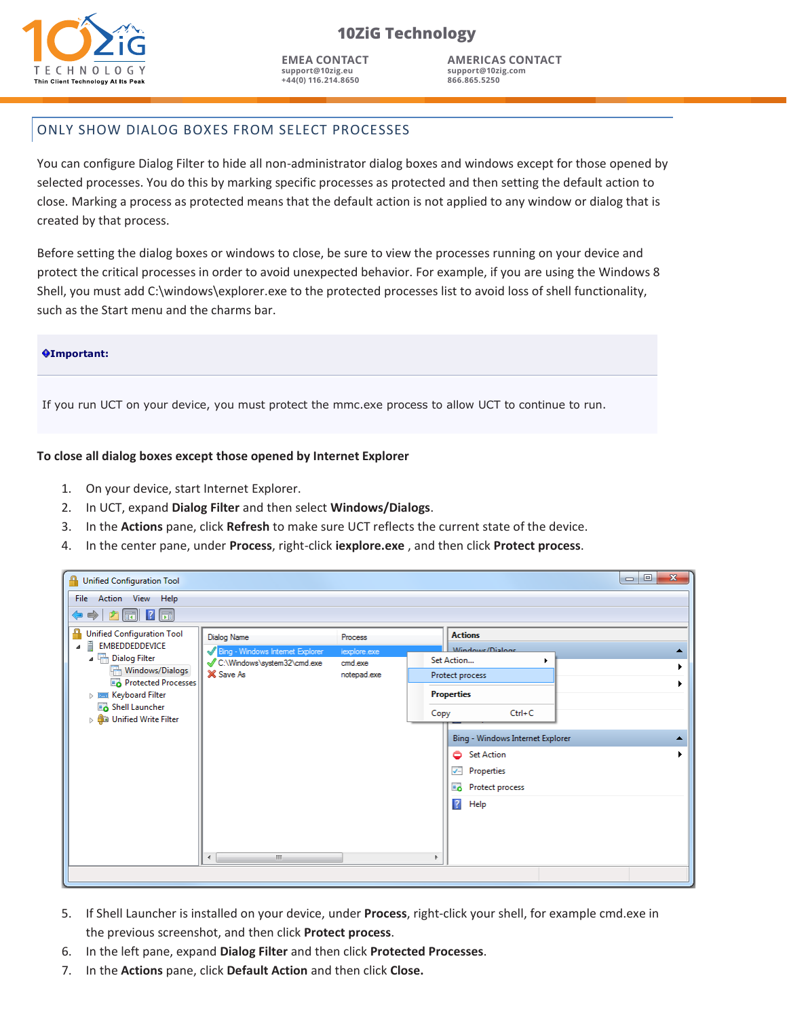

**EMEA CONTACT support@10zig.eu +44(0) 116.214.8650**

**AMERICAS CONTACT support@10zig.com 866.865.5250**

## ONLY SHOW DIALOG BOXES FROM SELECT PROCESSES

You can configure Dialog Filter to hide all non-administrator dialog boxes and windows except for those opened by selected processes. You do this by marking specific processes as protected and then setting the default action to close. Marking a process as protected means that the default action is not applied to any window or dialog that is created by that process.

Before setting the dialog boxes or windows to close, be sure to view the processes running on your device and protect the critical processes in order to avoid unexpected behavior. For example, if you are using the Windows 8 Shell, you must add C:\windows\explorer.exe to the protected processes list to avoid loss of shell functionality, such as the Start menu and the charms bar.

#### **Important:**

If you run UCT on your device, you must protect the mmc.exe process to allow UCT to continue to run.

#### **To close all dialog boxes except those opened by Internet Explorer**

- 1. On your device, start Internet Explorer.
- 2. In UCT, expand **Dialog Filter** and then select **Windows/Dialogs**.
- 3. In the **Actions** pane, click **Refresh** to make sure UCT reflects the current state of the device.
- 4. In the center pane, under **Process**, right-click **iexplore.exe** , and then click **Protect process**.

| <b>Unified Configuration Tool</b>                                                                                                                                                                                                 |                                                                                                    |                                                   |      |                                                                                                                                                     | $\mathbf{x}$<br>▣<br>$\qquad \qquad \blacksquare$ |
|-----------------------------------------------------------------------------------------------------------------------------------------------------------------------------------------------------------------------------------|----------------------------------------------------------------------------------------------------|---------------------------------------------------|------|-----------------------------------------------------------------------------------------------------------------------------------------------------|---------------------------------------------------|
| File Action View Help<br>$\boxed{m}$ ? $\boxed{m}$<br>中方<br>⇚                                                                                                                                                                     |                                                                                                    |                                                   |      |                                                                                                                                                     |                                                   |
| Unified Configuration Tool<br>Ħ<br>EMBEDDEDDEVICE<br>◢<br>▲ <sup>[11</sup> ] Dialog Filter<br>Windows/Dialogs<br>Protected Processes<br>$\triangleright$ $\equiv$ Keyboard Filter<br>Shell Launcher<br>Unified Write Filter<br>Þ. | <b>Dialog Name</b><br>Bing - Windows Internet Explorer<br>C:\Windows\system32\cmd.exe<br>X Save As | Process<br>iexplore.exe<br>cmd.exe<br>notepad.exe | Copy | <b>Actions</b><br><i>Mindows/Dialogs</i><br>Set Action<br>Protect process<br><b>Properties</b><br>$Ctrl + C$                                        |                                                   |
|                                                                                                                                                                                                                                   |                                                                                                    |                                                   |      | Bing - Windows Internet Explorer<br><b>Set Action</b><br>٥<br>$\overline{\checkmark}$<br>Properties<br><b>Protect process</b><br>$\sqrt{2}$<br>Help |                                                   |
|                                                                                                                                                                                                                                   | m.<br>$\overline{ }$                                                                               |                                                   | ь    |                                                                                                                                                     |                                                   |

- 5. If Shell Launcher is installed on your device, under **Process**, right-click your shell, for example cmd.exe in the previous screenshot, and then click **Protect process**.
- 6. In the left pane, expand **Dialog Filter** and then click **Protected Processes**.
- 7. In the **Actions** pane, click **Default Action** and then click **Close.**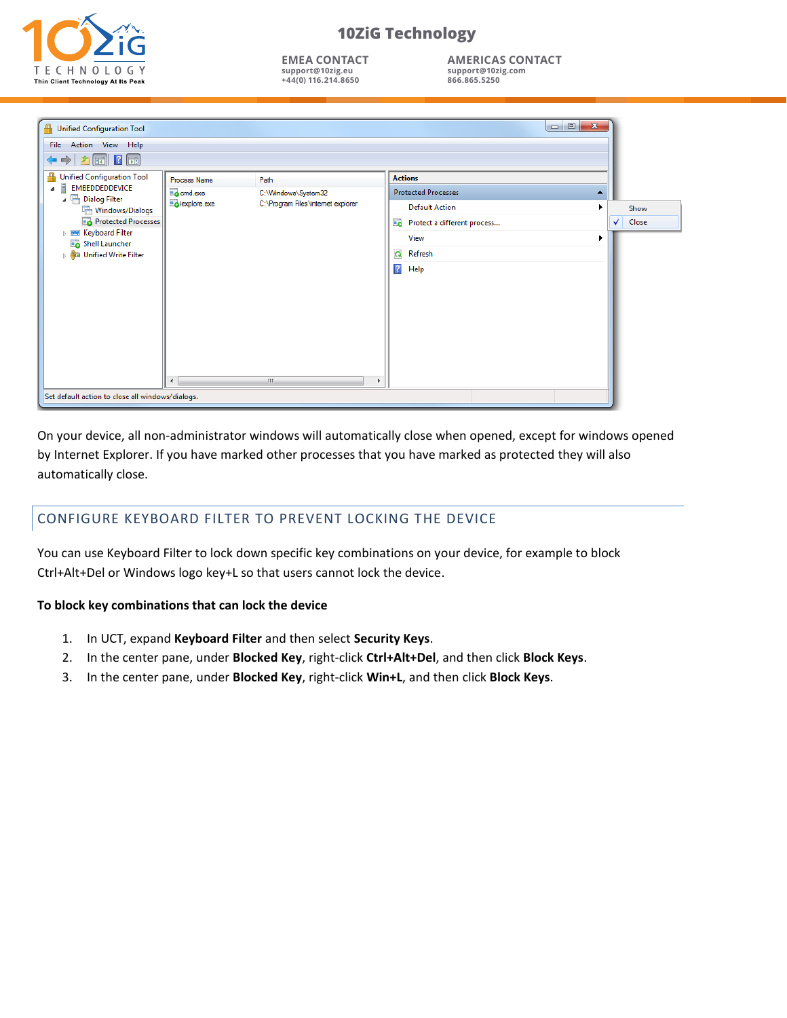

**EMEA CONTACT support@10zig.eu +44(0) 116.214.8650**

**AMERICAS CONTACT support@10zig.com 866.865.5250**

| <b>Unified Configuration Tool</b><br>File Action View Help<br>$\boxed{1}$ ? $\boxed{1}$    |                          |                                    | $\begin{array}{c c c c c c} \hline \multicolumn{3}{c }{\mathbf{0}} & \multicolumn{3}{c }{\mathbf{0}} \end{array}$<br>$\overline{\mathbf{x}}$ |            |              |
|--------------------------------------------------------------------------------------------|--------------------------|------------------------------------|----------------------------------------------------------------------------------------------------------------------------------------------|------------|--------------|
| ₽<br><b>Unified Configuration Tool</b><br>Ē<br><b>EMBEDDEDDEVICE</b><br>A<br>Dialog Filter | Process Name<br>comd.exe | Path<br>C:\Windows\System32        | <b>Actions</b><br><b>Protected Processes</b><br>▲                                                                                            |            |              |
| Windows/Dialogs                                                                            | explore.exe              | C:\Program Files\internet explorer | <b>Default Action</b>                                                                                                                        |            | Show         |
| Protected Processes<br><b>DE Keyboard Filter</b><br>Shell Launcher                         |                          |                                    | Protect a different process                                                                                                                  | $\sqrt{2}$ | <b>Close</b> |
|                                                                                            |                          |                                    | View                                                                                                                                         |            |              |
| <b>De Buller</b> Unified Write Filter                                                      |                          |                                    | $\mathbf{G}$<br>Refresh                                                                                                                      |            |              |
|                                                                                            | $\leftarrow$             | m.                                 | $\overline{?}$<br>Help                                                                                                                       |            |              |
| Set default action to close all windows/dialogs.                                           |                          |                                    |                                                                                                                                              |            |              |

On your device, all non-administrator windows will automatically close when opened, except for windows opened by Internet Explorer. If you have marked other processes that you have marked as protected they will also automatically close.

# CONFIGURE KEYBOARD FILTER TO PREVENT LOCKING THE DEVICE

You can use Keyboard Filter to lock down specific key combinations on your device, for example to block Ctrl+Alt+Del or Windows logo key+L so that users cannot lock the device.

### **To block key combinations that can lock the device**

- 1. In UCT, expand **Keyboard Filter** and then select **Security Keys**.
- 2. In the center pane, under **Blocked Key**, right-click **Ctrl+Alt+Del**, and then click **Block Keys**.
- 3. In the center pane, under **Blocked Key**, right-click **Win+L**, and then click **Block Keys**.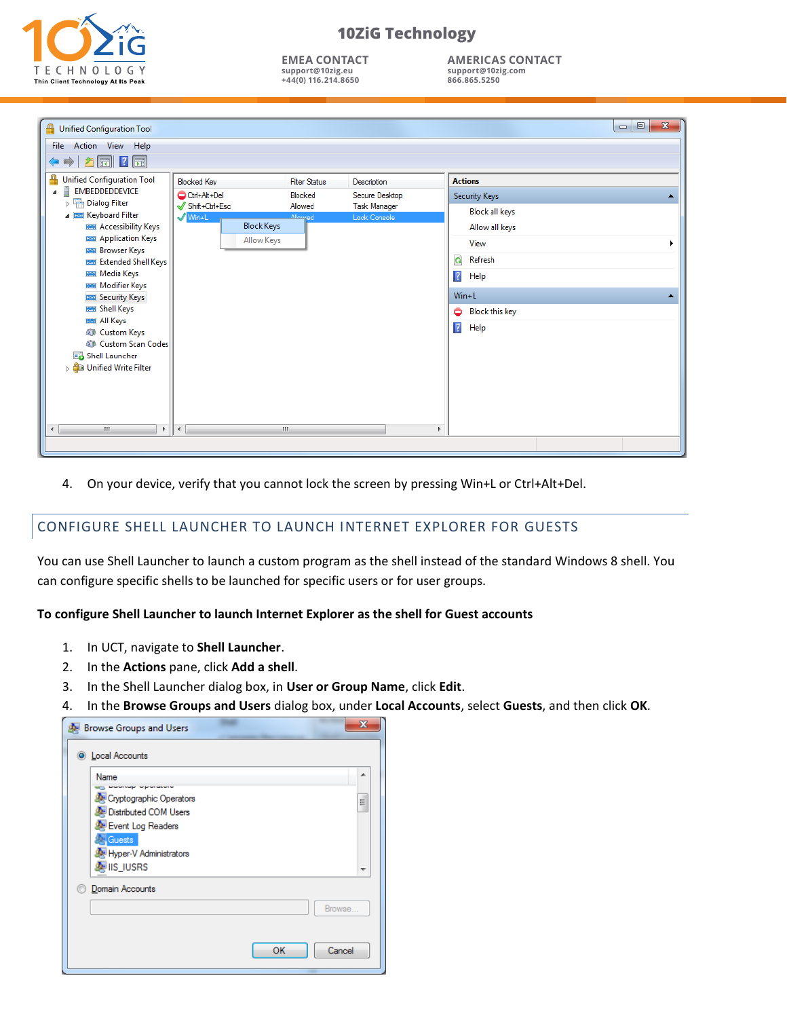

**EMEA CONTACT support@10zig.eu +44(0) 116.214.8650**

**AMERICAS CONTACT support@10zig.com 866.865.5250**

| <b>Unified Configuration Tool</b>                 |                                            |                      |                     | $\Box$ e<br>$\mathbf{x}$   |
|---------------------------------------------------|--------------------------------------------|----------------------|---------------------|----------------------------|
| Action View Help<br><b>File</b>                   |                                            |                      |                     |                            |
| $\mathbf{?}$ $\Box$<br>Fil                        |                                            |                      |                     |                            |
| ≞<br><b>Unified Configuration Tool</b>            | <b>Blocked Key</b>                         | <b>Filter Status</b> | Description         | <b>Actions</b>             |
| Ě<br>EMBEDDEDDEVICE<br>◢                          | Ctrl+Alt+Del                               | Blocked              | Secure Desktop      | Security Keys<br>▲         |
| Dialog Filter<br>▲ <b>I Keyboard Filter</b>       | Shift+Ctrl+Esc                             | Allowed<br>Allowed   | <b>Task Manager</b> | <b>Block all keys</b>      |
| <b>EEE</b> Accessibility Keys                     | $\sqrt{\text{Win+L}}$<br><b>Block Keys</b> |                      | Lock Console        | Allow all keys             |
| <b>EXECUTE: Application Keys</b>                  | Allow Keys                                 |                      |                     | View<br>▶                  |
| <b>EE Browser Keys</b><br>Extended Shell Keys     |                                            |                      |                     | $\mathbf{Q}$<br>Refresh    |
| <b>EEE</b> Media Keys                             |                                            |                      |                     | $\sqrt{2}$<br>Help         |
| <b>EE Modifier Keys</b>                           |                                            |                      |                     |                            |
| <b>EXECUTITY Keys</b>                             |                                            |                      |                     | $Win+L$<br>ᇫ               |
| <b>EEE</b> Shell Keys<br><b>EE All Keys</b>       |                                            |                      |                     | <b>Block this key</b><br>٥ |
| <b>AD</b> Custom Keys                             |                                            |                      |                     | $\overline{R}$<br>Help     |
| <b>AD</b> Custom Scan Codes                       |                                            |                      |                     |                            |
| Shell Launcher<br><b>De Burner Strate Littler</b> |                                            |                      |                     |                            |
|                                                   |                                            |                      |                     |                            |
|                                                   |                                            |                      |                     |                            |
|                                                   |                                            |                      |                     |                            |
| $\leftarrow$<br>m.<br>Þ.                          | $\rightarrow$                              | Ш                    |                     | b.                         |
|                                                   |                                            |                      |                     |                            |
|                                                   |                                            |                      |                     |                            |

4. On your device, verify that you cannot lock the screen by pressing Win+L or Ctrl+Alt+Del.

# CONFIGURE SHELL LAUNCHER TO LAUNCH INTERNET EXPLORER FOR GUESTS

You can use Shell Launcher to launch a custom program as the shell instead of the standard Windows 8 shell. You can configure specific shells to be launched for specific users or for user groups.

#### **To configure Shell Launcher to launch Internet Explorer as the shell for Guest accounts**

- 1. In UCT, navigate to **Shell Launcher**.
- 2. In the **Actions** pane, click **Add a shell**.
- 3. In the Shell Launcher dialog box, in **User or Group Name**, click **Edit**.
- 4. In the **Browse Groups and Users** dialog box, under **Local Accounts**, select **Guests**, and then click **OK**.

| <b>Browse Groups and Users</b>             | ж            |
|--------------------------------------------|--------------|
| <b>O</b> Local Accounts                    |              |
| Name<br>providing representative           | ▴            |
| Cryptographic Operators                    | Ξ            |
| Distributed COM Users<br>Event Log Readers |              |
| <b>Cuests</b>                              |              |
| Hyper-V Administrators<br><b>MIS_IUSRS</b> |              |
| Domain Accounts                            |              |
|                                            | Browse       |
|                                            |              |
|                                            | OK<br>Cancel |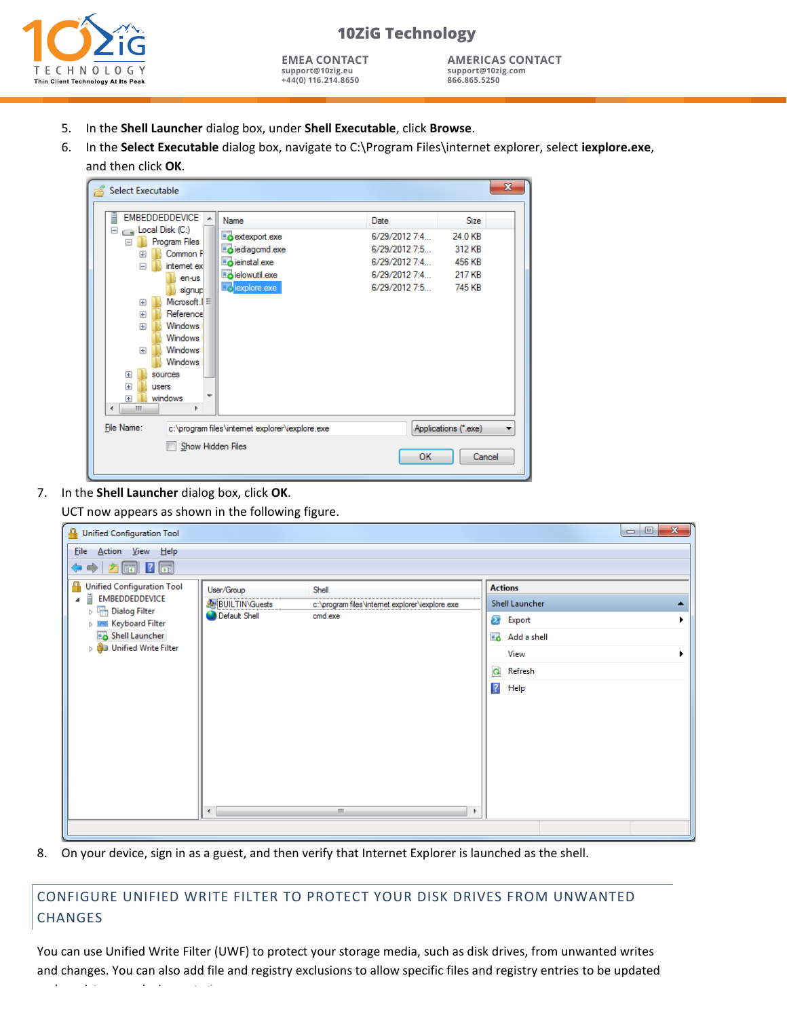

**EMEA CONTACT support@10zig.eu +44(0) 116.214.8650**

**AMERICAS CONTACT support@10zig.com 866.865.5250**

- 5. In the **Shell Launcher** dialog box, under **Shell Executable**, click **Browse**.
- 6. In the **Select Executable** dialog box, navigate to C:\Program Files\internet explorer, select **iexplore.exe**, and then click **OK**.

| Select Executable                                                                                                                                                                                                                                                                                                                                                          |                                                                                                  |                                                                                           |                                                                | $\mathbf{x}$ |  |
|----------------------------------------------------------------------------------------------------------------------------------------------------------------------------------------------------------------------------------------------------------------------------------------------------------------------------------------------------------------------------|--------------------------------------------------------------------------------------------------|-------------------------------------------------------------------------------------------|----------------------------------------------------------------|--------------|--|
| <b>EMBEDDEDDEVICE</b><br>A.<br>$\equiv$ Local Disk (C:)<br>Ξ<br>Program Files<br>Common F<br>$\overline{+}$<br>internet ex<br>$\equiv$<br>en-us<br>signup<br>Microsoft.IE<br>$\overline{+}$<br>Reference<br>$\overline{+}$<br>Windows<br>$\overline{+}$<br>Windows<br>Windows<br>$\overline{+}$<br>Windows<br>sources<br>田<br>田<br>users<br>windows<br>$\overline{+}$<br>m | Name<br>extexport.exe<br>iediagcmd.exe<br>einstal.exe<br>ielowutil.exe<br><b>EN</b> lexplore.exe | Date<br>6/29/2012 7:4<br>6/29/2012 7:5<br>6/29/2012 7:4<br>6/29/2012 7:4<br>6/29/2012 7:5 | <b>Size</b><br>24.0 KB<br>312 KB<br>456 KB<br>217 KB<br>745 KB |              |  |
| File Name:<br>Applications (*.exe)<br>c:\program files\internet explorer\iexplore.exe                                                                                                                                                                                                                                                                                      |                                                                                                  |                                                                                           |                                                                |              |  |
| Show Hidden Files<br>OK<br>Cancel                                                                                                                                                                                                                                                                                                                                          |                                                                                                  |                                                                                           |                                                                |              |  |

7. In the **Shell Launcher** dialog box, click **OK**.

and persist across device restarts.

UCT now appears as shown in the following figure.

| <b>Unified Configuration Tool</b><br>♣                                                                                                                                                                  |                                                                               |                                                                                                                     | $\Box$<br>$\mathbf{x}$<br>$\Box$                                                                                                 |
|---------------------------------------------------------------------------------------------------------------------------------------------------------------------------------------------------------|-------------------------------------------------------------------------------|---------------------------------------------------------------------------------------------------------------------|----------------------------------------------------------------------------------------------------------------------------------|
| File Action View Help<br>$\Leftrightarrow$ $\triangleright$ $\blacksquare$ $\blacksquare$ $\blacksquare$                                                                                                |                                                                               |                                                                                                                     |                                                                                                                                  |
| Unified Configuration Tool<br>Ē<br>EMBEDDEDDEVICE<br>$\triangleright$ $\frac{\square}{\square \square}$ Dialog Filter<br><b>DEE Keyboard Filter</b><br>Shell Launcher<br><b>De Unified Write Filter</b> | User/Group<br><b>BUILTIN\Guests</b><br><b>O</b> Default Shell<br>$\leftarrow$ | Shell<br>c:\program files\internet explorer\iexplore.exe<br>cmd.exe<br>$\left\langle \mathbf{H}\right\rangle$<br>b. | <b>Actions</b><br>Shell Launcher<br>$\blacktriangleright$<br>Export<br>Add a shell<br>View<br>Q<br>Refresh<br>$\sqrt{2}$<br>Help |
|                                                                                                                                                                                                         |                                                                               |                                                                                                                     |                                                                                                                                  |

8. On your device, sign in as a guest, and then verify that Internet Explorer is launched as the shell.

# CONFIGURE UNIFIED WRITE FILTER TO PROTECT YOUR DISK DRIVES FROM UNWANTED CHANGES

You can use Unified Write Filter (UWF) to protect your storage media, such as disk drives, from unwanted writes and changes. You can also add file and registry exclusions to allow specific files and registry entries to be updated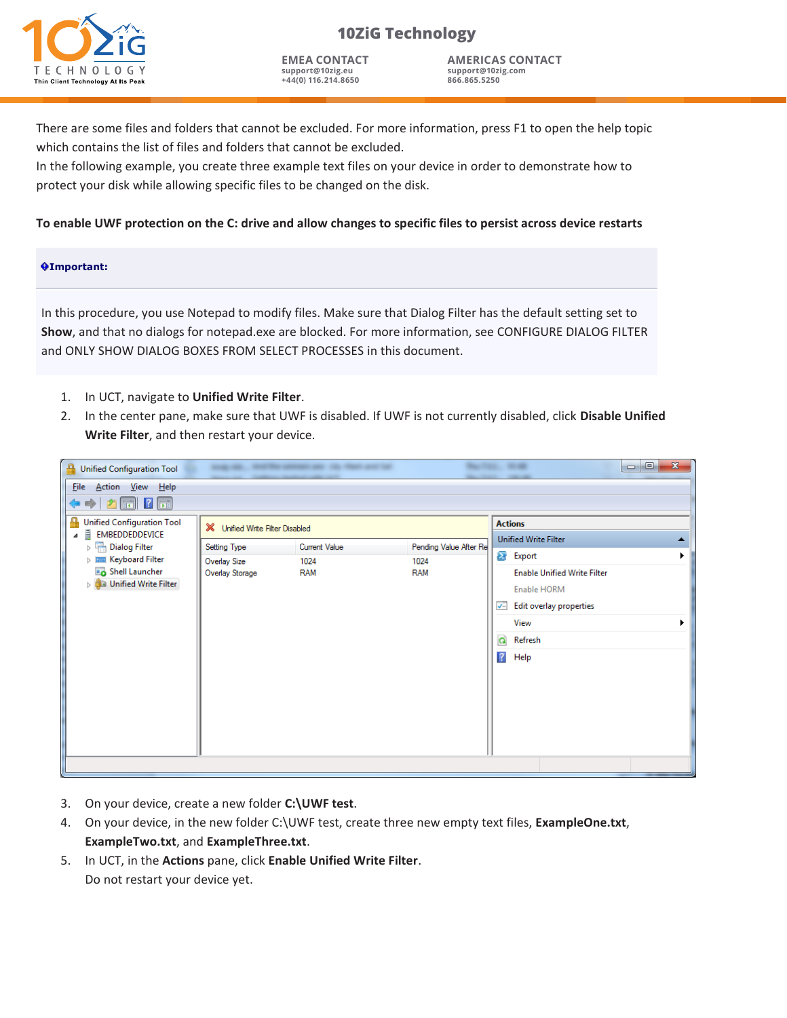

**EMEA CONTACT support@10zig.eu +44(0) 116.214.8650**

**AMERICAS CONTACT support@10zig.com 866.865.5250**

There are some files and folders that cannot be excluded. For more information, press F1 to open the help topic which contains the list of files and folders that cannot be excluded.

In the following example, you create three example text files on your device in order to demonstrate how to protect your disk while allowing specific files to be changed on the disk.

### **To enable UWF protection on the C: drive and allow changes to specific files to persist across device restarts**

#### **Important:**

In this procedure, you use Notepad to modify files. Make sure that Dialog Filter has the default setting set to **Show**, and that no dialogs for notepad.exe are blocked. For more information, see CONFIGURE DIALOG FILTER and ONLY SHOW DIALOG BOXES FROM SELECT PROCESSES in this document.

- 1. In UCT, navigate to **Unified Write Filter**.
- 2. In the center pane, make sure that UWF is disabled. If UWF is not currently disabled, click **Disable Unified Write Filter**, and then restart your device.

| <b>Unified Configuration Tool</b>                                                                                                           |                                 |                    |                        | $\mathbf{x}$<br>$\Box$<br>$\blacksquare$                                                                          |
|---------------------------------------------------------------------------------------------------------------------------------------------|---------------------------------|--------------------|------------------------|-------------------------------------------------------------------------------------------------------------------|
| <b>Eile</b><br>Action <u>V</u> iew Help                                                                                                     |                                 |                    |                        |                                                                                                                   |
| $\Leftrightarrow$ $\blacktriangleright$ $\parallel$ $\blacksquare$ $\parallel$ $\parallel$ $\parallel$<br><b>Unified Configuration Tool</b> |                                 |                    |                        | <b>Actions</b>                                                                                                    |
| E<br>EMBEDDEDDEVICE<br>4                                                                                                                    | X Unified Write Filter Disabled |                    |                        | <b>Unified Write Filter</b>                                                                                       |
| Dialog Filter                                                                                                                               | Setting Type                    | Current Value      | Pending Value After Re | $\sum_{i=1}^{n}$<br>Export                                                                                        |
| <b>DEE Keyboard Filter</b><br>Shell Launcher<br><b>De Unified Write Filter</b>                                                              | Overlay Size<br>Overlay Storage | 1024<br><b>RAM</b> | 1024<br><b>RAM</b>     | <b>Enable Unified Write Filter</b><br>Enable HORM<br>Edit overlay properties<br>J−<br>View<br>$\alpha$<br>Refresh |
|                                                                                                                                             |                                 |                    |                        | $\overline{?}$<br>Help                                                                                            |

- 3. On your device, create a new folder **C:\UWF test**.
- 4. On your device, in the new folder C:\UWF test, create three new empty text files, **ExampleOne.txt**, **ExampleTwo.txt**, and **ExampleThree.txt**.
- 5. In UCT, in the **Actions** pane, click **Enable Unified Write Filter**. Do not restart your device yet.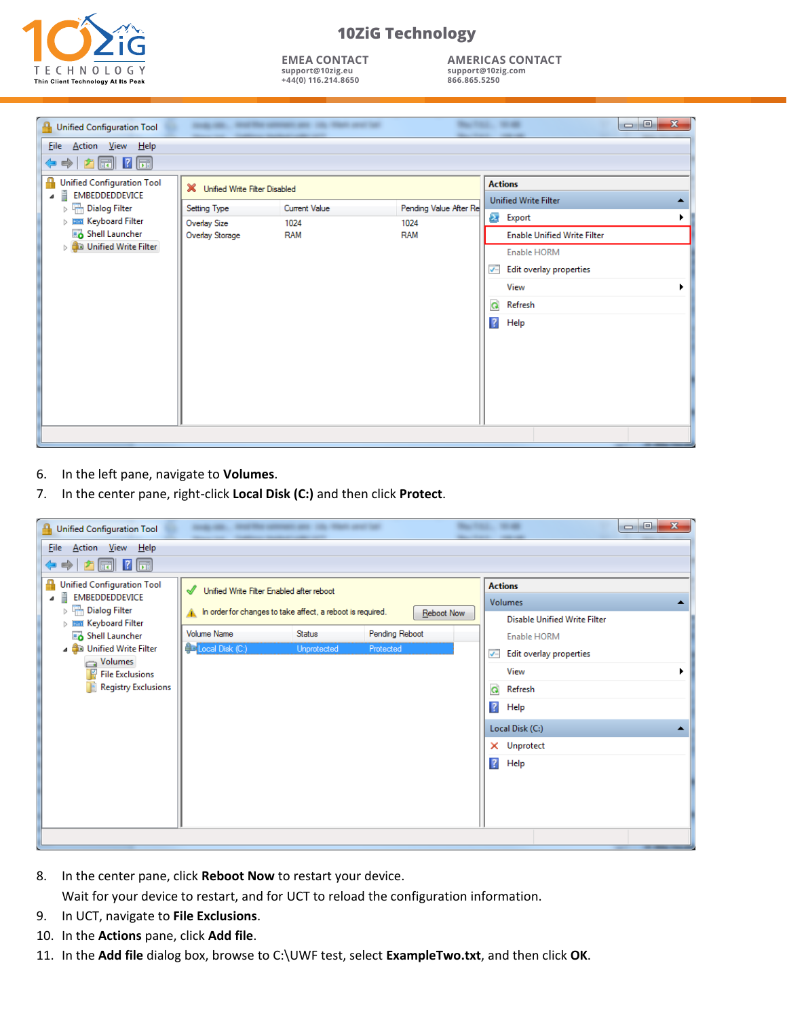

**EMEA CONTACT support@10zig.eu +44(0) 116.214.8650**

**AMERICAS CONTACT support@10zig.com 866.865.5250**

| Unified Configuration Tool                               |                                 | -<br><b>College College</b> |                        | $\mathbf{x}$<br>$\begin{tabular}{c} \multicolumn{1}{c} {\textbf{a}} & \multicolumn{1}{c} {\textbf{b}} \\ \multicolumn{1}{c} {\textbf{b}} & \multicolumn{1}{c} {\textbf{c}} \\ \multicolumn{1}{c} {\textbf{c}} & \multicolumn{1}{c} {\textbf{c}} \\ \multicolumn{1}{c} {\textbf{c}} & \multicolumn{1}{c} {\textbf{c}} \\ \multicolumn{1}{c} {\textbf{c}} & \multicolumn{1}{c} {\textbf{c}} \\ \multicolumn{1}{c} {\textbf{c}} & \multicolumn{1}{c} {\textbf{c}} \\ \multicolumn{1}{c} {\textbf{c}} & \multicolumn$<br>-<br>-- |
|----------------------------------------------------------|---------------------------------|-----------------------------|------------------------|------------------------------------------------------------------------------------------------------------------------------------------------------------------------------------------------------------------------------------------------------------------------------------------------------------------------------------------------------------------------------------------------------------------------------------------------------------------------------------------------------------------------------|
| Action View Help<br><b>Eile</b>                          |                                 |                             |                        |                                                                                                                                                                                                                                                                                                                                                                                                                                                                                                                              |
| $\mathbf{E}$ $\mathbf{E}$ $\mathbf{E}$<br>$\Rightarrow$  |                                 |                             |                        |                                                                                                                                                                                                                                                                                                                                                                                                                                                                                                                              |
| Q<br>Unified Configuration Tool<br>Ē<br>EMBEDDEDDEVICE   | X Unified Write Filter Disabled |                             |                        | <b>Actions</b>                                                                                                                                                                                                                                                                                                                                                                                                                                                                                                               |
| $\triangleright$ $\frac{\square}{\square}$ Dialog Filter | Setting Type                    | <b>Current Value</b>        | Pending Value After Re | <b>Unified Write Filter</b>                                                                                                                                                                                                                                                                                                                                                                                                                                                                                                  |
| $\triangleright$ $\equiv$ Keyboard Filter                | Overlay Size                    | 1024                        | 1024                   | $\mathbf{z}$<br>Export                                                                                                                                                                                                                                                                                                                                                                                                                                                                                                       |
| Shell Launcher                                           | Overlay Storage                 | <b>RAM</b>                  | <b>RAM</b>             | <b>Enable Unified Write Filter</b>                                                                                                                                                                                                                                                                                                                                                                                                                                                                                           |
| <b>De Unified Write Filter</b>                           |                                 |                             |                        | Enable HORM                                                                                                                                                                                                                                                                                                                                                                                                                                                                                                                  |
|                                                          |                                 |                             |                        | Edit overlay properties<br>$\overline{ }$                                                                                                                                                                                                                                                                                                                                                                                                                                                                                    |
|                                                          |                                 |                             |                        | View                                                                                                                                                                                                                                                                                                                                                                                                                                                                                                                         |
|                                                          |                                 |                             |                        | Q<br>Refresh                                                                                                                                                                                                                                                                                                                                                                                                                                                                                                                 |
|                                                          |                                 |                             |                        | $\sqrt{2}$<br>Help                                                                                                                                                                                                                                                                                                                                                                                                                                                                                                           |
|                                                          |                                 |                             |                        |                                                                                                                                                                                                                                                                                                                                                                                                                                                                                                                              |
|                                                          |                                 |                             |                        |                                                                                                                                                                                                                                                                                                                                                                                                                                                                                                                              |
|                                                          |                                 |                             |                        |                                                                                                                                                                                                                                                                                                                                                                                                                                                                                                                              |
|                                                          |                                 |                             |                        |                                                                                                                                                                                                                                                                                                                                                                                                                                                                                                                              |
|                                                          |                                 |                             |                        |                                                                                                                                                                                                                                                                                                                                                                                                                                                                                                                              |
|                                                          |                                 |                             |                        |                                                                                                                                                                                                                                                                                                                                                                                                                                                                                                                              |
|                                                          |                                 |                             |                        |                                                                                                                                                                                                                                                                                                                                                                                                                                                                                                                              |
|                                                          |                                 |                             |                        |                                                                                                                                                                                                                                                                                                                                                                                                                                                                                                                              |

- 6. In the left pane, navigate to **Volumes**.
- 7. In the center pane, right-click **Local Disk (C:)** and then click **Protect**.

| <b>Unified Configuration Tool</b>                                                                                                                                                                                                                                                                                                   |                                                                                                                                                                | <b>THE R. P. LEWIS CO., LANSING MICH.</b><br> |                                           | $= 0$<br>$\mathbf{x}$                                                                                                                                                                                               |  |  |  |
|-------------------------------------------------------------------------------------------------------------------------------------------------------------------------------------------------------------------------------------------------------------------------------------------------------------------------------------|----------------------------------------------------------------------------------------------------------------------------------------------------------------|-----------------------------------------------|-------------------------------------------|---------------------------------------------------------------------------------------------------------------------------------------------------------------------------------------------------------------------|--|--|--|
| Action <u>V</u> iew Help<br><b>File</b>                                                                                                                                                                                                                                                                                             |                                                                                                                                                                |                                               |                                           |                                                                                                                                                                                                                     |  |  |  |
| $\boxed{m}$ ? $\boxed{m}$<br>$\Rightarrow$<br>$\mathbb{Z}$<br>₽<br>Unified Configuration Tool<br>Ē<br>EMBEDDEDDEVICE<br><b>The Dialog Filter</b><br>$\triangleright$<br><b>DEE Keyboard Filter</b><br>Shell Launcher<br><b>Bu Unified Write Filter</b><br>◢<br>Volumes<br>層<br><b>File Exclusions</b><br><b>Registry Exclusions</b> | √<br>Unified Write Filter Enabled after reboot<br>In order for changes to take affect, a reboot is required.<br><b>Volume Name</b><br><b>D</b> Local Disk (C:) | Status<br>Unprotected                         | Reboot Now<br>Pending Reboot<br>Protected | <b>Actions</b><br><b>Volumes</b><br>▴<br><b>Disable Unified Write Filter</b><br>Enable HORM<br>Edit overlay properties<br>$\overline{\smile}$<br>View<br>Q<br>Refresh<br>$\sqrt{2}$<br>Help<br>Local Disk (C:)<br>▴ |  |  |  |
|                                                                                                                                                                                                                                                                                                                                     |                                                                                                                                                                |                                               |                                           | X Unprotect<br>$\sqrt{2}$<br>Help                                                                                                                                                                                   |  |  |  |

8. In the center pane, click **Reboot Now** to restart your device.

Wait for your device to restart, and for UCT to reload the configuration information.

- 9. In UCT, navigate to **File Exclusions**.
- 10. In the **Actions** pane, click **Add file**.
- 11. In the **Add file** dialog box, browse to C:\UWF test, select **ExampleTwo.txt**, and then click **OK**.